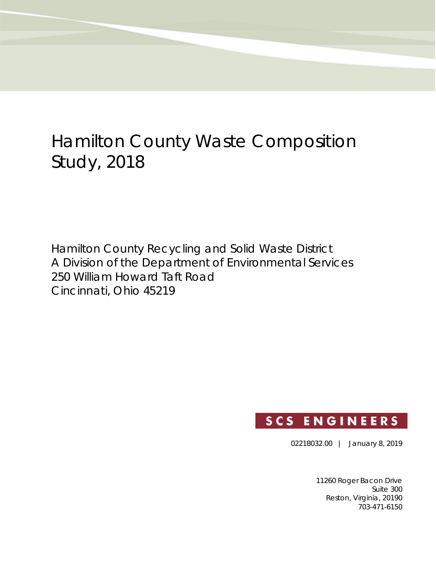# Hamilton County Waste Composition Study, 2018

Hamilton County Recycling and Solid Waste District A Division of the Department of Environmental Services 250 William Howard Taft Road Cincinnati, Ohio 45219

## **SCS ENGINEERS**

02218032.00 | January 8, 2019

11260 Roger Bacon Drive Suite 300 Reston, Virginia, 20190 703-471-6150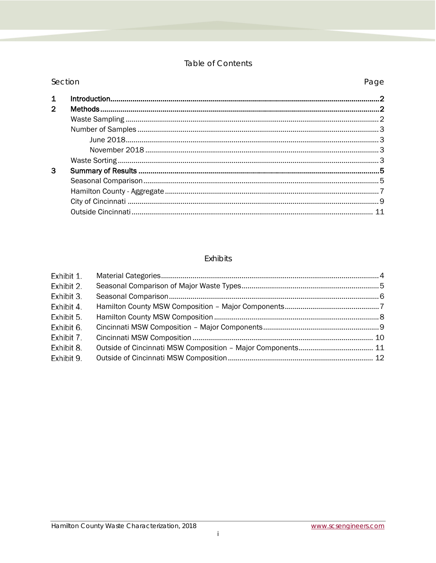#### Table of Contents

| Section      |  | Page |
|--------------|--|------|
|              |  |      |
| $\mathbf{p}$ |  |      |
|              |  |      |
|              |  |      |
|              |  |      |
|              |  |      |
|              |  |      |
| 3            |  |      |
|              |  |      |
|              |  |      |
|              |  |      |
|              |  |      |
|              |  |      |

#### Exhibits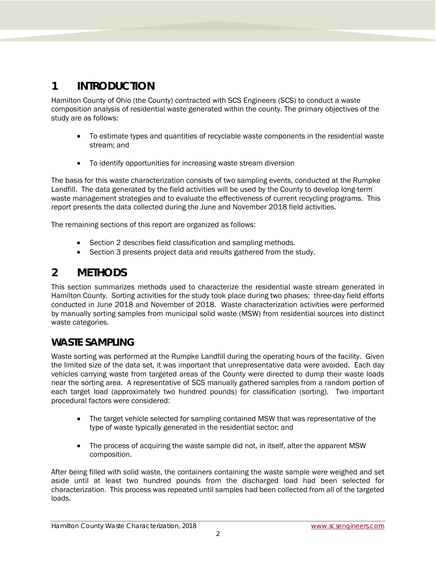## <span id="page-2-0"></span>**1 INTRODUCTION**

Hamilton County of Ohio (the County) contracted with SCS Engineers (SCS) to conduct a waste composition analysis of residential waste generated within the county. The primary objectives of the study are as follows:

- To estimate types and quantities of recyclable waste components in the residential waste stream; and
- To identify opportunities for increasing waste stream diversion

The basis for this waste characterization consists of two sampling events, conducted at the Rumpke Landfill. The data generated by the field activities will be used by the County to develop long-term waste management strategies and to evaluate the effectiveness of current recycling programs. This report presents the data collected during the June and November 2018 field activities.

The remaining sections of this report are organized as follows:

- Section 2 describes field classification and sampling methods.
- Section 3 presents project data and results gathered from the study.

## <span id="page-2-1"></span>**2 METHODS**

This section summarizes methods used to characterize the residential waste stream generated in Hamilton County. Sorting activities for the study took place during two phases: three-day field efforts conducted in June 2018 and November of 2018. Waste characterization activities were performed by manually sorting samples from municipal solid waste (MSW) from residential sources into distinct waste categories.

## <span id="page-2-2"></span>**WASTE SAMPLING**

Waste sorting was performed at the Rumpke Landfill during the operating hours of the facility. Given the limited size of the data set, it was important that unrepresentative data were avoided. Each day vehicles carrying waste from targeted areas of the County were directed to dump their waste loads near the sorting area. A representative of SCS manually gathered samples from a random portion of each target load (approximately two hundred pounds) for classification (sorting). Two important procedural factors were considered:

- The target vehicle selected for sampling contained MSW that was representative of the type of waste typically generated in the residential sector; and
- The process of acquiring the waste sample did not, in itself, alter the apparent MSW composition.

After being filled with solid waste, the containers containing the waste sample were weighed and set aside until at least two hundred pounds from the discharged load had been selected for characterization. This process was repeated until samples had been collected from all of the targeted loads.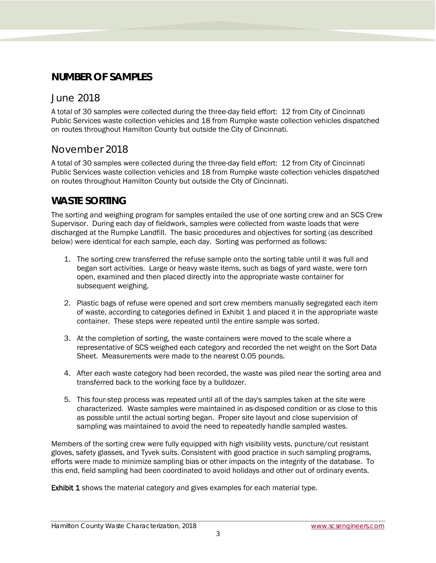### <span id="page-3-0"></span>**NUMBER OF SAMPLES**

#### <span id="page-3-1"></span>June 2018

A total of 30 samples were collected during the three-day field effort: 12 from City of Cincinnati Public Services waste collection vehicles and 18 from Rumpke waste collection vehicles dispatched on routes throughout Hamilton County but outside the City of Cincinnati.

#### <span id="page-3-2"></span>November 2018

A total of 30 samples were collected during the three-day field effort: 12 from City of Cincinnati Public Services waste collection vehicles and 18 from Rumpke waste collection vehicles dispatched on routes throughout Hamilton County but outside the City of Cincinnati.

#### <span id="page-3-3"></span>**WASTE SORTING**

The sorting and weighing program for samples entailed the use of one sorting crew and an SCS Crew Supervisor. During each day of fieldwork, samples were collected from waste loads that were discharged at the Rumpke Landfill. The basic procedures and objectives for sorting (as described below) were identical for each sample, each day. Sorting was performed as follows:

- 1. The sorting crew transferred the refuse sample onto the sorting table until it was full and began sort activities. Large or heavy waste items, such as bags of yard waste, were torn open, examined and then placed directly into the appropriate waste container for subsequent weighing.
- 2. Plastic bags of refuse were opened and sort crew members manually segregated each item of waste, according to categories defined in Exhibit 1 and placed it in the appropriate waste container. These steps were repeated until the entire sample was sorted.
- 3. At the completion of sorting, the waste containers were moved to the scale where a representative of SCS weighed each category and recorded the net weight on the Sort Data Sheet. Measurements were made to the nearest 0.05 pounds.
- 4. After each waste category had been recorded, the waste was piled near the sorting area and transferred back to the working face by a bulldozer.
- 5. This four-step process was repeated until all of the day's samples taken at the site were characterized. Waste samples were maintained in as-disposed condition or as close to this as possible until the actual sorting began. Proper site layout and close supervision of sampling was maintained to avoid the need to repeatedly handle sampled wastes.

Members of the sorting crew were fully equipped with high visibility vests, puncture/cut resistant gloves, safety glasses, and Tyvek suits. Consistent with good practice in such sampling programs, efforts were made to minimize sampling bias or other impacts on the integrity of the database. To this end, field sampling had been coordinated to avoid holidays and other out of ordinary events.

**Exhibit 1** shows the material category and gives examples for each material type.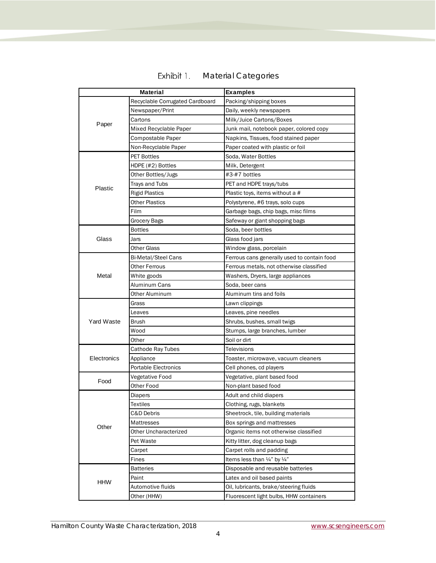<span id="page-4-0"></span>

|             | <b>Material</b>                 | <b>Examples</b>                             |
|-------------|---------------------------------|---------------------------------------------|
|             | Recyclable Corrugated Cardboard | Packing/shipping boxes                      |
|             | Newspaper/Print                 | Daily, weekly newspapers                    |
|             | Cartons                         | Milk/Juice Cartons/Boxes                    |
| Paper       | Mixed Recyclable Paper          | Junk mail, notebook paper, colored copy     |
|             | Compostable Paper               | Napkins, Tissues, food stained paper        |
|             | Non-Recyclable Paper            | Paper coated with plastic or foil           |
|             | <b>PET Bottles</b>              | Soda, Water Bottles                         |
|             | HDPE (#2) Bottles               | Milk, Detergent                             |
|             | Other Bottles/Jugs              | #3-#7 bottles                               |
| Plastic     | Trays and Tubs                  | PET and HDPE trays/tubs                     |
|             | <b>Rigid Plastics</b>           | Plastic toys, items without a #             |
|             | <b>Other Plastics</b>           | Polystyrene, #6 trays, solo cups            |
|             | Film                            | Garbage bags, chip bags, misc films         |
|             | Grocery Bags                    | Safeway or giant shopping bags              |
|             | <b>Bottles</b>                  | Soda, beer bottles                          |
| Glass       | Jars                            | Glass food jars                             |
|             | Other Glass                     | Window glass, porcelain                     |
|             | <b>Bi-Metal/Steel Cans</b>      | Ferrous cans generally used to contain food |
|             | Other Ferrous                   | Ferrous metals, not otherwise classified    |
| Metal       | White goods                     | Washers, Dryers, large appliances           |
|             | Aluminum Cans                   | Soda, beer cans                             |
|             | Other Aluminum                  | Aluminum tins and foils                     |
|             | Grass                           | Lawn clippings                              |
|             | Leaves                          | Leaves, pine needles                        |
| Yard Waste  | <b>Brush</b>                    | Shrubs, bushes, small twigs                 |
|             | Wood                            | Stumps, large branches, lumber              |
|             | Other                           | Soil or dirt                                |
|             | Cathode Ray Tubes               | Televisions                                 |
| Electronics | Appliance                       | Toaster, microwave, vacuum cleaners         |
|             | <b>Portable Electronics</b>     | Cell phones, cd players                     |
| Food        | Vegetative Food                 | Vegetative, plant based food                |
|             | Other Food                      | Non-plant based food                        |
|             | Diapers                         | Adult and child diapers                     |
|             | <b>Textiles</b>                 | Clothing, rugs, blankets                    |
|             | C&D Debris                      | Sheetrock, tile, building materials         |
| Other       | Mattresses                      | Box springs and mattresses                  |
|             | Other Uncharacterized           | Organic items not otherwise classified      |
|             | Pet Waste                       | Kitty litter, dog cleanup bags              |
|             | Carpet                          | Carpet rolls and padding                    |
|             | Fines                           | Items less than 1/4" by 1/4"                |
|             | <b>Batteries</b>                | Disposable and reusable batteries           |
| <b>HHW</b>  | Paint                           | Latex and oil based paints                  |
|             | Automotive fluids               | Oil, lubricants, brake/steering fluids      |
|             | Other (HHW)                     | Fluorescent light bulbs, HHW containers     |

#### Exhibit 1. Material Categories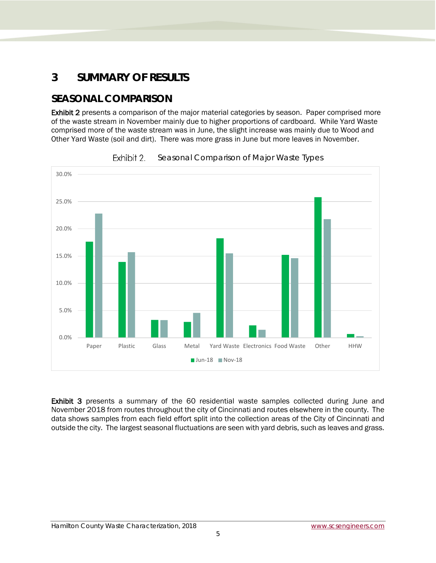## <span id="page-5-0"></span>**3 SUMMARY OF RESULTS**

## <span id="page-5-1"></span>**SEASONAL COMPARISON**

Exhibit 2 presents a comparison of the major material categories by season. Paper comprised more of the waste stream in November mainly due to higher proportions of cardboard. While Yard Waste comprised more of the waste stream was in June, the slight increase was mainly due to Wood and Other Yard Waste (soil and dirt). There was more grass in June but more leaves in November.

<span id="page-5-2"></span>



Exhibit 3 presents a summary of the 60 residential waste samples collected during June and November 2018 from routes throughout the city of Cincinnati and routes elsewhere in the county. The data shows samples from each field effort split into the collection areas of the City of Cincinnati and outside the city. The largest seasonal fluctuations are seen with yard debris, such as leaves and grass.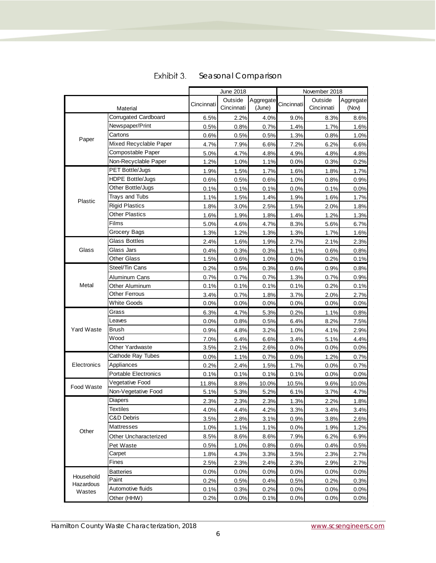<span id="page-6-0"></span>

|                                  |                           | June 2018    |                       | November 2018       |              |                       |                    |
|----------------------------------|---------------------------|--------------|-----------------------|---------------------|--------------|-----------------------|--------------------|
| Material                         |                           | Cincinnati   | Outside<br>Cincinnati | Aggregate<br>(June) | Cincinnati   | Outside<br>Cincinnati | Aggregate<br>(Nov) |
|                                  | Corrugated Cardboard      | 6.5%         | 2.2%                  | 4.0%                | 9.0%         | 8.3%                  | 8.6%               |
|                                  | Newspaper/Print           | 0.5%         | 0.8%                  | 0.7%                | 1.4%         | 1.7%                  | 1.6%               |
|                                  | Cartons                   | 0.6%         | 0.5%                  | 0.5%                | 1.3%         | 0.8%                  | 1.0%               |
| Paper                            | Mixed Recyclable Paper    | 4.7%         | 7.9%                  | 6.6%                | 7.2%         | 6.2%                  | 6.6%               |
|                                  | Compostable Paper         | 5.0%         | 4.7%                  | 4.8%                | 4.9%         | 4.8%                  | 4.8%               |
|                                  | Non-Recyclable Paper      | 1.2%         | 1.0%                  | 1.1%                | 0.0%         | 0.3%                  | 0.2%               |
|                                  | PET Bottle/Jugs           | 1.9%         | 1.5%                  | 1.7%                | 1.6%         | 1.8%                  | 1.7%               |
|                                  | <b>HDPE Bottle/Jugs</b>   | 0.6%         | 0.5%                  | 0.6%                | 1.0%         | 0.8%                  | 0.9%               |
|                                  | Other Bottle/Jugs         | 0.1%         | 0.1%                  | 0.1%                | 0.0%         | 0.1%                  | 0.0%               |
| Plastic                          | Trays and Tubs            | 1.1%         | 1.5%                  | 1.4%                | 1.9%         | 1.6%                  | 1.7%               |
|                                  | <b>Rigid Plastics</b>     | 1.8%         | 3.0%                  | 2.5%                | 1.5%         | 2.0%                  | 1.8%               |
|                                  | <b>Other Plastics</b>     | 1.6%         | 1.9%                  | 1.8%                | 1.4%         | 1.2%                  | 1.3%               |
|                                  | Films                     | 5.0%         | 4.6%                  | 4.7%                | 8.3%         | 5.6%                  | 6.7%               |
|                                  | Grocery Bags              | 1.3%         | 1.2%                  | 1.3%                | 1.3%         | 1.7%                  | 1.6%               |
|                                  | <b>Glass Bottles</b>      | 2.4%         | 1.6%                  | 1.9%                | 2.7%         | 2.1%                  | 2.3%               |
| Glass                            | Glass Jars                | 0.4%         | 0.3%                  | 0.3%                | 1.1%         | 0.6%                  | 0.8%               |
|                                  | <b>Other Glass</b>        | 1.5%         | 0.6%                  | 1.0%                | 0.0%         | 0.2%                  | 0.1%               |
|                                  | Steel/Tin Cans            | 0.2%         | 0.5%                  | 0.3%                | 0.6%         | 0.9%                  | 0.8%               |
|                                  | Aluminum Cans             | 0.7%         | 0.7%                  | 0.7%                | 1.3%         | 0.7%                  | 0.9%               |
| Metal                            | Other Aluminum            | 0.1%         | 0.1%                  | 0.1%                | 0.1%         | 0.2%                  | 0.1%               |
|                                  | Other Ferrous             | 3.4%         | 0.7%                  | 1.8%                | 3.7%         | 2.0%                  | 2.7%               |
|                                  | <b>White Goods</b>        | 0.0%         | 0.0%                  | 0.0%                | 0.0%         | 0.0%                  | 0.0%               |
|                                  | Grass                     | 6.3%         | 4.7%                  | 5.3%                | 0.2%         | 1.1%                  | 0.8%               |
|                                  | Leaves                    | 0.0%         | 0.8%                  | 0.5%                | 6.4%         | 8.2%                  | 7.5%               |
| Yard Waste                       | Brush                     | 0.9%         | 4.8%                  | 3.2%                | 1.0%         | 4.1%                  | 2.9%               |
|                                  | Wood                      | 7.0%         | 6.4%                  | 6.6%                | 3.4%         | 5.1%                  | 4.4%               |
|                                  | Other Yardwaste           | 3.5%         | 2.1%                  | 2.6%                | 0.0%         | 0.0%                  | 0.0%               |
|                                  | Cathode Ray Tubes         | 0.0%         | 1.1%                  | 0.7%                | 0.0%         | 1.2%                  | 0.7%               |
| Electronics                      | Appliances                | 0.2%         | 2.4%                  | 1.5%                | 1.7%         | 0.0%                  | 0.7%               |
|                                  | Portable Electronics      | 0.1%         | 0.1%                  | 0.1%                | 0.1%         | 0.0%                  | 0.0%               |
| Food Waste                       | Vegetative Food           | 11.8%        | 8.8%                  | 10.0%               | 10.5%        | 9.6%                  | 10.0%              |
|                                  | Non-Vegetative Food       | 5.1%         | 5.3%                  | 5.2%                | 6.1%         | 3.7%                  | 4.7%               |
|                                  | <b>Diapers</b>            | 2.3%         | 2.3%                  | 2.3%                | 1.3%         | 2.2%                  | 1.8%               |
|                                  | <b>Textiles</b>           | 4.0%         | 4.4%                  | 4.2%                | 3.3%         | 3.4%                  | 3.4%               |
|                                  | C&D Debris                | 3.5%         | 2.8%                  | 3.1%                | 0.9%         | 3.8%                  | 2.6%               |
| Other                            | Mattresses                | 1.0%         | 1.1%                  | 1.1%                | 0.0%         | 1.9%                  | 1.2%               |
|                                  | Other Uncharacterized     | 8.5%         | 8.6%                  | 8.6%                | 7.9%         | 6.2%                  | 6.9%               |
|                                  | Pet Waste                 | 0.5%         | 1.0%                  | 0.8%                | 0.6%         | 0.4%                  | 0.5%               |
|                                  | Carpet<br>Fines           | 1.8%         | 4.3%                  | 3.3%                | 3.5%         | 2.3%                  | 2.7%               |
|                                  |                           | 2.5%         | 2.3%                  | 2.4%                | 2.3%         | 2.9%                  | 2.7%               |
| Household<br>Hazardous<br>Wastes | <b>Batteries</b><br>Paint | 0.0%         | 0.0%                  | 0.0%                | 0.0%         | 0.0%                  | 0.0%               |
|                                  | Automotive fluids         | 0.2%         | 0.5%                  | 0.4%                | 0.5%         | 0.2%                  | 0.3%               |
|                                  | Other (HHW)               | 0.1%<br>0.2% | 0.3%<br>0.0%          | 0.2%<br>0.1%        | 0.0%<br>0.0% | 0.0%<br>0.0%          | 0.0%<br>0.0%       |
|                                  |                           |              |                       |                     |              |                       |                    |

#### Exhibit 3. Seasonal Comparison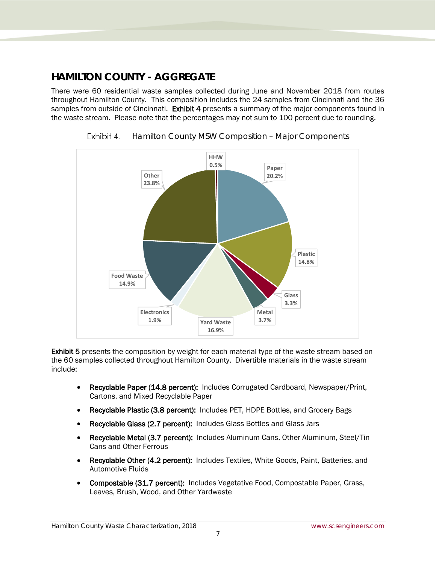## <span id="page-7-0"></span>**HAMILTON COUNTY - AGGREGATE**

There were 60 residential waste samples collected during June and November 2018 from routes throughout Hamilton County. This composition includes the 24 samples from Cincinnati and the 36 samples from outside of Cincinnati. Exhibit 4 presents a summary of the major components found in the waste stream. Please note that the percentages may not sum to 100 percent due to rounding.

<span id="page-7-1"></span>



Exhibit 5 presents the composition by weight for each material type of the waste stream based on the 60 samples collected throughout Hamilton County. Divertible materials in the waste stream include:

- Recyclable Paper (14.8 percent): Includes Corrugated Cardboard, Newspaper/Print, Cartons, and Mixed Recyclable Paper
- Recyclable Plastic (3.8 percent): Includes PET, HDPE Bottles, and Grocery Bags
- Recyclable Glass (2.7 percent): Includes Glass Bottles and Glass Jars
- Recyclable Metal (3.7 percent): Includes Aluminum Cans, Other Aluminum, Steel/Tin Cans and Other Ferrous
- Recyclable Other (4.2 percent): Includes Textiles, White Goods, Paint, Batteries, and Automotive Fluids
- Compostable (31.7 percent): Includes Vegetative Food, Compostable Paper, Grass, Leaves, Brush, Wood, and Other Yardwaste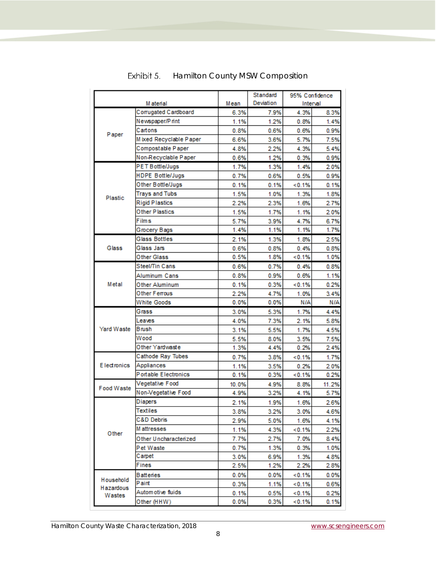<span id="page-8-0"></span>

|                     |                         |       | Standard  | 95% Confidence |       |
|---------------------|-------------------------|-------|-----------|----------------|-------|
|                     | M aterial               | Mean  | Deviation | Interval       |       |
|                     | Corrugated Cardboard    | 6.3%  | 7.9%      | 4.3%           | 8.3%  |
|                     | Newspaper/Print         | 1.1%  | 1.2%      | 0.8%           | 1.4%  |
| Paper               | Cartons                 | 0.8%  | 0.6%      | 0.6%           | 0.9%  |
|                     | Mixed Recyclable Paper  | 6.6%  | 3.6%      | 5.7%           | 7.5%  |
|                     | Compostable Paper       | 4.8%  | 2.2%      | 4.3%           | 5.4%  |
|                     | Non-Recyclable Paper    | 0.6%  | 1.2%      | 0.3%           | 0.9%  |
|                     | PET Bottle/Jugs         | 1.7%  | 1.3%      | 1.4%           | 2.0%  |
|                     | <b>HDPE Bottle/Jugs</b> | 0.7%  | 0.6%      | 0.5%           | 0.9%  |
|                     | Other Bottle/Jugs       | 0.1%  | 0.1%      | < 0.1%         | 0.1%  |
| Plastic             | <b>Trays and Tubs</b>   | 1.5%  | 1.0%      | 1.3%           | 1.8%  |
|                     | <b>Rigid Plastics</b>   | 2.2%  | 2.3%      | 1.6%           | 2.7%  |
|                     | Other Plastics          | 1.5%  | 1.7%      | 1.1%           | 2.0%  |
|                     | Films                   | 5.7%  | 3.9%      | 4.7%           | 6.7%  |
|                     | Grocery Bags            | 1.4%  | 1.1%      | 1.1%           | 1.7%  |
|                     | <b>Glass Bottles</b>    | 2.1%  | 1.3%      | 1.8%           | 2.5%  |
| Glass               | Glass Jars              | 0.6%  | 0.8%      | 0.4%           | 0.8%  |
|                     | Other Glass             | 0.5%  | 1.8%      | <0.1%          | 1.0%  |
|                     | Steel/Tin Cans          | 0.6%  | 0.7%      | 0.4%           | 0.8%  |
|                     | Aluminum Cans           | 0.8%  | 0.9%      | 0.6%           | 1.1%  |
| Metal               | Other Aluminum          | 0.1%  | 0.3%      | <0.1%          | 0.2%  |
|                     | Other Ferrous           | 2.2%  | 4.7%      | 1.0%           | 3.4%  |
|                     | <b>White Goods</b>      | 0.0%  | 0.0%      | N/A            | N/A   |
|                     | Grass                   | 3.0%  | 5.3%      | 1.7%           | 4.4%  |
|                     | Leaves                  | 4.0%  | 7.3%      | 2.1%           | 5.8%  |
| Yard Waste          | Brush                   | 3.1%  | 5.5%      | 1.7%           | 4.5%  |
|                     | Wood                    | 5.5%  | 8.0%      | 3.5%           | 7.5%  |
|                     | Other Yardwaste         | 1.3%  | 4.4%      | 0.2%           | 2.4%  |
|                     | Cathode Ray Tubes       | 0.7%  | 3.8%      | <0.1%          | 1.7%  |
| <b>Electronics</b>  | Appliances              | 1.1%  | 3.5%      | 0.2%           | 2.0%  |
|                     | Portable Electronics    | 0.1%  | 0.3%      | < 0.1%         | 0.2%  |
|                     | Vegetative Food         | 10.0% | 4.9%      | 8.8%           | 11.2% |
| Food Waste          | Non-Vegetative Food     | 4.9%  | 3.2%      | 4.1%           | 5.7%  |
|                     | Diapers                 | 2.1%  | 1.9%      | 1.6%           | 2.6%  |
|                     | Textiles                | 3.8%  | 3.2%      | 3.0%           | 4.6%  |
|                     | C&D Debris              | 2.9%  | 5.0%      | 1.6%           | 4.1%  |
|                     | M attresses             | 1.1%  | 4.3%      | < 0.1%         | 2.2%  |
| Other               | Other Uncharacterized   | 7.7%  | 2.7%      | 7.0%           | 8.4%  |
|                     | Pet Waste               | 0.7%  | 1.3%      | 0.3%           | 1.0%  |
|                     | Carpet                  | 3.0%  | 6.9%      | 1.3%           | 4.8%  |
|                     | Fines                   | 2.5%  | 1.2%      | 2.2%           | 2.8%  |
|                     | Batteries               | 0.0%  | 0.0%      | < 0.1%         | 0.0%  |
| Household           | Paint                   | 0.3%  | 1.1%      | <0.1%          | 0.6%  |
| Hazardous<br>Wastes | Autom otive fluids      | 0.1%  | 0.5%      | < 0.1%         | 0.2%  |
|                     | Other (HHW)             | 0.0%  | 0.3%      | < 0.1%         | 0.1%  |

## Exhibit 5. Hamilton County MSW Composition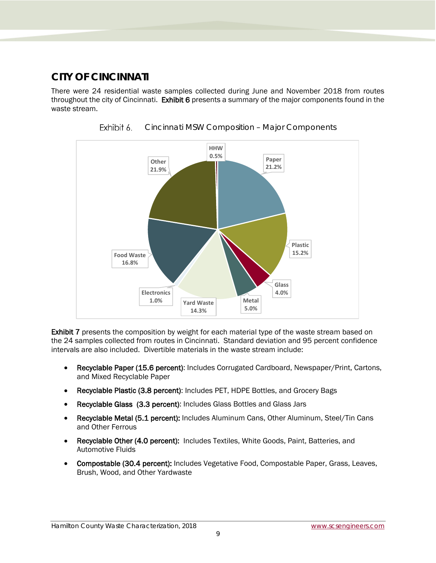## <span id="page-9-0"></span>**CITY OF CINCINNATI**

There were 24 residential waste samples collected during June and November 2018 from routes throughout the city of Cincinnati. Exhibit 6 presents a summary of the major components found in the waste stream.

<span id="page-9-1"></span>



Exhibit 7 presents the composition by weight for each material type of the waste stream based on the 24 samples collected from routes in Cincinnati. Standard deviation and 95 percent confidence intervals are also included. Divertible materials in the waste stream include:

- Recyclable Paper (15.6 percent): Includes Corrugated Cardboard, Newspaper/Print, Cartons, and Mixed Recyclable Paper
- Recyclable Plastic (3.8 percent): Includes PET, HDPE Bottles, and Grocery Bags
- Recyclable Glass (3.3 percent): Includes Glass Bottles and Glass Jars
- Recyclable Metal (5.1 percent): Includes Aluminum Cans, Other Aluminum, Steel/Tin Cans and Other Ferrous
- Recyclable Other (4.0 percent): Includes Textiles, White Goods, Paint, Batteries, and Automotive Fluids
- Compostable (30.4 percent): Includes Vegetative Food, Compostable Paper, Grass, Leaves, Brush, Wood, and Other Yardwaste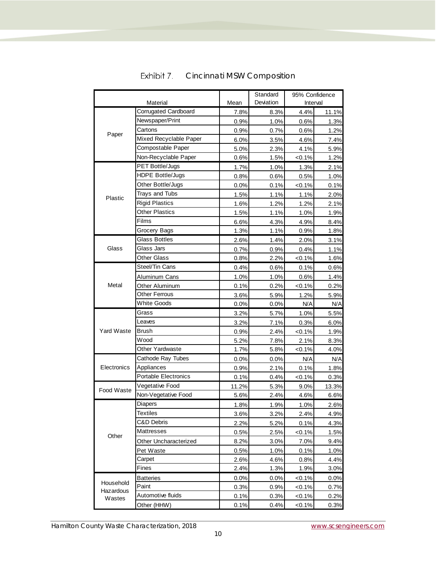<span id="page-10-0"></span>

|                     |                         |       | Standard  | 95% Confidence |       |
|---------------------|-------------------------|-------|-----------|----------------|-------|
| Material            |                         | Mean  | Deviation | Interval       |       |
|                     | Corrugated Cardboard    | 7.8%  | 8.3%      | 4.4%           | 11.1% |
|                     | Newspaper/Print         | 0.9%  | 1.0%      | 0.6%           | 1.3%  |
| Paper               | Cartons                 | 0.9%  | 0.7%      | 0.6%           | 1.2%  |
|                     | Mixed Recyclable Paper  | 6.0%  | 3.5%      | 4.6%           | 7.4%  |
|                     | Compostable Paper       | 5.0%  | 2.3%      | 4.1%           | 5.9%  |
|                     | Non-Recyclable Paper    | 0.6%  | 1.5%      | $< 0.1\%$      | 1.2%  |
|                     | PET Bottle/Jugs         | 1.7%  | 1.0%      | 1.3%           | 2.1%  |
|                     | <b>HDPE Bottle/Jugs</b> | 0.8%  | 0.6%      | 0.5%           | 1.0%  |
|                     | Other Bottle/Jugs       | 0.0%  | 0.1%      | < 0.1%         | 0.1%  |
| Plastic             | <b>Trays and Tubs</b>   | 1.5%  | 1.1%      | 1.1%           | 2.0%  |
|                     | <b>Rigid Plastics</b>   | 1.6%  | 1.2%      | 1.2%           | 2.1%  |
|                     | Other Plastics          | 1.5%  | 1.1%      | 1.0%           | 1.9%  |
|                     | Films                   | 6.6%  | 4.3%      | 4.9%           | 8.4%  |
|                     | Grocery Bags            | 1.3%  | 1.1%      | 0.9%           | 1.8%  |
|                     | <b>Glass Bottles</b>    | 2.6%  | 1.4%      | 2.0%           | 3.1%  |
| Glass               | Glass Jars              | 0.7%  | 0.9%      | 0.4%           | 1.1%  |
|                     | <b>Other Glass</b>      | 0.8%  | 2.2%      | $< 0.1\%$      | 1.6%  |
|                     | Steel/Tin Cans          | 0.4%  | 0.6%      | 0.1%           | 0.6%  |
|                     | Aluminum Cans           | 1.0%  | 1.0%      | 0.6%           | 1.4%  |
| Metal               | Other Aluminum          | 0.1%  | 0.2%      | $< 0.1\%$      | 0.2%  |
|                     | Other Ferrous           | 3.6%  | 5.9%      | 1.2%           | 5.9%  |
|                     | <b>White Goods</b>      | 0.0%  | 0.0%      | N/A            | N/A   |
|                     | Grass                   | 3.2%  | 5.7%      | 1.0%           | 5.5%  |
|                     | Leaves                  | 3.2%  | 7.1%      | 0.3%           | 6.0%  |
| <b>Yard Waste</b>   | Brush                   | 0.9%  | 2.4%      | $< 0.1\%$      | 1.9%  |
|                     | Wood                    | 5.2%  | 7.8%      | 2.1%           | 8.3%  |
|                     | Other Yardwaste         | 1.7%  | 5.8%      | $< 0.1\%$      | 4.0%  |
|                     | Cathode Ray Tubes       | 0.0%  | 0.0%      | N/A            | N/A   |
| Electronics         | Appliances              | 0.9%  | 2.1%      | 0.1%           | 1.8%  |
|                     | Portable Electronics    | 0.1%  | 0.4%      | $< 0.1\%$      | 0.3%  |
| Food Waste          | Vegetative Food         | 11.2% | 5.3%      | 9.0%           | 13.3% |
|                     | Non-Vegetative Food     | 5.6%  | 2.4%      | 4.6%           | 6.6%  |
|                     | Diapers                 | 1.8%  | 1.9%      | 1.0%           | 2.6%  |
|                     | <b>Textiles</b>         | 3.6%  | 3.2%      | 2.4%           | 4.9%  |
|                     | C&D Debris              | 2.2%  | 5.2%      | 0.1%           | 4.3%  |
|                     | Mattresses              | 0.5%  | 2.5%      | $< 0.1\%$      | 1.5%  |
| Other               | Other Uncharacterized   | 8.2%  | 3.0%      | 7.0%           | 9.4%  |
|                     | Pet Waste               | 0.5%  | 1.0%      | 0.1%           | 1.0%  |
|                     | Carpet                  | 2.6%  | 4.6%      | 0.8%           | 4.4%  |
|                     | Fines                   | 2.4%  | 1.3%      | 1.9%           | 3.0%  |
|                     | <b>Batteries</b>        | 0.0%  | 0.0%      | $< 0.1\%$      | 0.0%  |
| Household           | Paint                   | 0.3%  | 0.9%      | $< 0.1\%$      | 0.7%  |
| Hazardous<br>Wastes | Automotive fluids       | 0.1%  | 0.3%      | $< 0.1\%$      | 0.2%  |
|                     | Other (HHW)             | 0.1%  | 0.4%      | $< 0.1\%$      | 0.3%  |

#### Exhibit 7. Cincinnati MSW Composition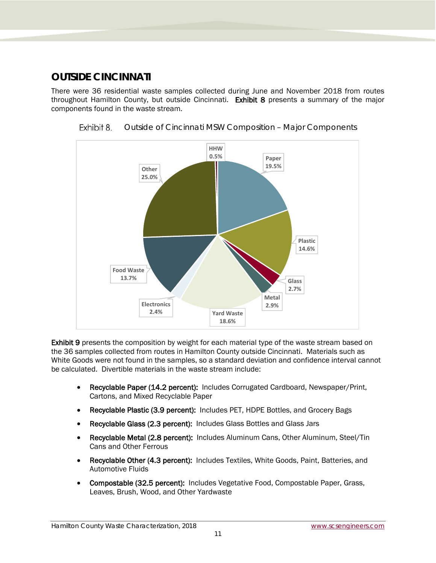## <span id="page-11-0"></span>**OUTSIDE CINCINNATI**

There were 36 residential waste samples collected during June and November 2018 from routes throughout Hamilton County, but outside Cincinnati. Exhibit 8 presents a summary of the major components found in the waste stream.



<span id="page-11-1"></span>

Exhibit 9 presents the composition by weight for each material type of the waste stream based on the 36 samples collected from routes in Hamilton County outside Cincinnati. Materials such as White Goods were not found in the samples, so a standard deviation and confidence interval cannot be calculated. Divertible materials in the waste stream include:

- Recyclable Paper (14.2 percent): Includes Corrugated Cardboard, Newspaper/Print, Cartons, and Mixed Recyclable Paper
- Recyclable Plastic (3.9 percent): Includes PET, HDPE Bottles, and Grocery Bags
- Recyclable Glass (2.3 percent): Includes Glass Bottles and Glass Jars
- Recyclable Metal (2.8 percent): Includes Aluminum Cans, Other Aluminum, Steel/Tin Cans and Other Ferrous
- Recyclable Other (4.3 percent): Includes Textiles, White Goods, Paint, Batteries, and Automotive Fluids
- Compostable (32.5 percent): Includes Vegetative Food, Compostable Paper, Grass, Leaves, Brush, Wood, and Other Yardwaste